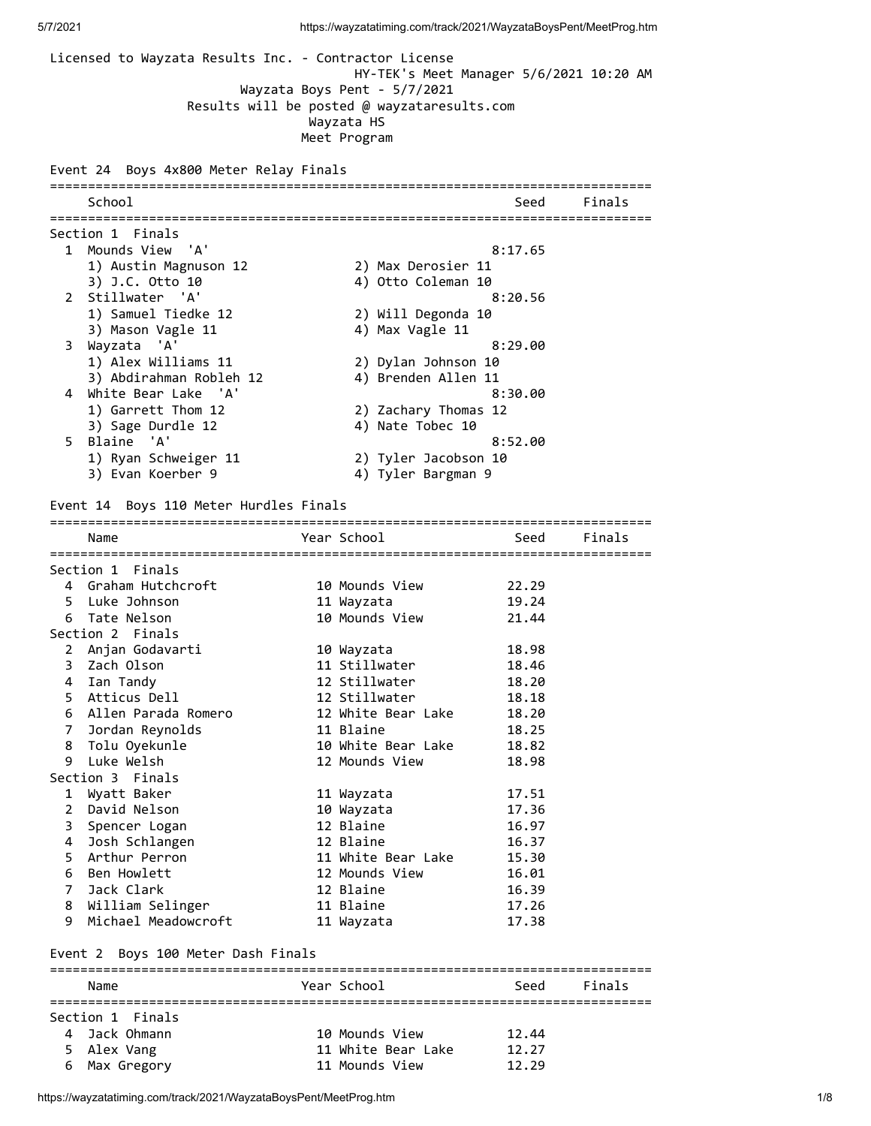Licensed to Wayzata Results Inc. - Contractor License HY-TEK's Meet Manager 5/6/2021 10:20 AM Wayzata Boys Pent - 5/7/2021 Results will be posted @ wayzataresults.com Wayzata HS Meet Program Event 24 Boys 4x800 Meter Relay Finals =============================================================================== School School Seed Finals =============================================================================== Section 1 Finals 1 Mounds View 'A' 8:17.65 1) Austin Magnuson 12 2) Max Derosier 11 3) J.C. Otto 10 4) Otto Coleman 10 2 Stillwater 'A' 8:20.56 1) Samuel Tiedke 12 2) Will Degonda 10 3) Mason Vagle 11 4) Max Vagle 11 3 Wayzata 'A' 8:29.00 1) Alex Williams 11 2) Dylan Johnson 10 3) Abdirahman Robleh 12 4) Brenden Allen 11 4 White Bear Lake 'A' 8:30.00 1) Garrett Thom 12 2) Zachary Thomas 12 3) Sage Durdle 12 4) Nate Tobec 10 5 Blaine 'A' 8:52.00 1) Ryan Schweiger 11 2) Tyler Jacobson 10 3) Evan Koerber 9 4) Tyler Bargman 9 Event 14 Boys 110 Meter Hurdles Finals =============================================================================== Name The Year School Seed Finals =============================================================================== Section 1 Finals 4 Graham Hutchcroft 10 Mounds View 22.29 5 Luke Johnson 11 Wayzata 19.24 6 Tate Nelson 10 Mounds View 21.44 Section 2 Finals 2 Anjan Godavarti 10 Wayzata 18.98 3 Zach Olson 11 Stillwater 18.46 4 Ian Tandy 12 Stillwater 18.20 5 Atticus Dell 12 Stillwater 18.18 6 Allen Parada Romero 12 White Bear Lake 18.20 7 Jordan Reynolds 11 Blaine 18.25 8 Tolu Oyekunle 10 White Bear Lake 18.82 9 Luke Welsh 12 Mounds View 18.98 Section 3 Finals 1 Wyatt Baker 11 Wayzata 17.51 2 David Nelson 10 Wayzata 17.36 3 Spencer Logan 12 Blaine 16.97 4 Josh Schlangen 12 Blaine 16.37 5 Arthur Perron 11 White Bear Lake 15.30 6 Ben Howlett 12 Mounds View 16.01 7 Jack Clark 12 Blaine 16.39 8 William Selinger 11 Blaine 17.26 9 Michael Meadowcroft 11 Wayzata 17.38

#### Event 2 Boys 100 Meter Dash Finals

| Name             |  | Year School        | Seed  | Finals |  |  |
|------------------|--|--------------------|-------|--------|--|--|
|                  |  |                    |       |        |  |  |
| Section 1 Finals |  |                    |       |        |  |  |
| 4 Jack Ohmann    |  | 10 Mounds View     | 12.44 |        |  |  |
| 5 Alex Vang      |  | 11 White Bear Lake | 12.27 |        |  |  |
| 6 Max Gregory    |  | 11 Mounds View     | 12.29 |        |  |  |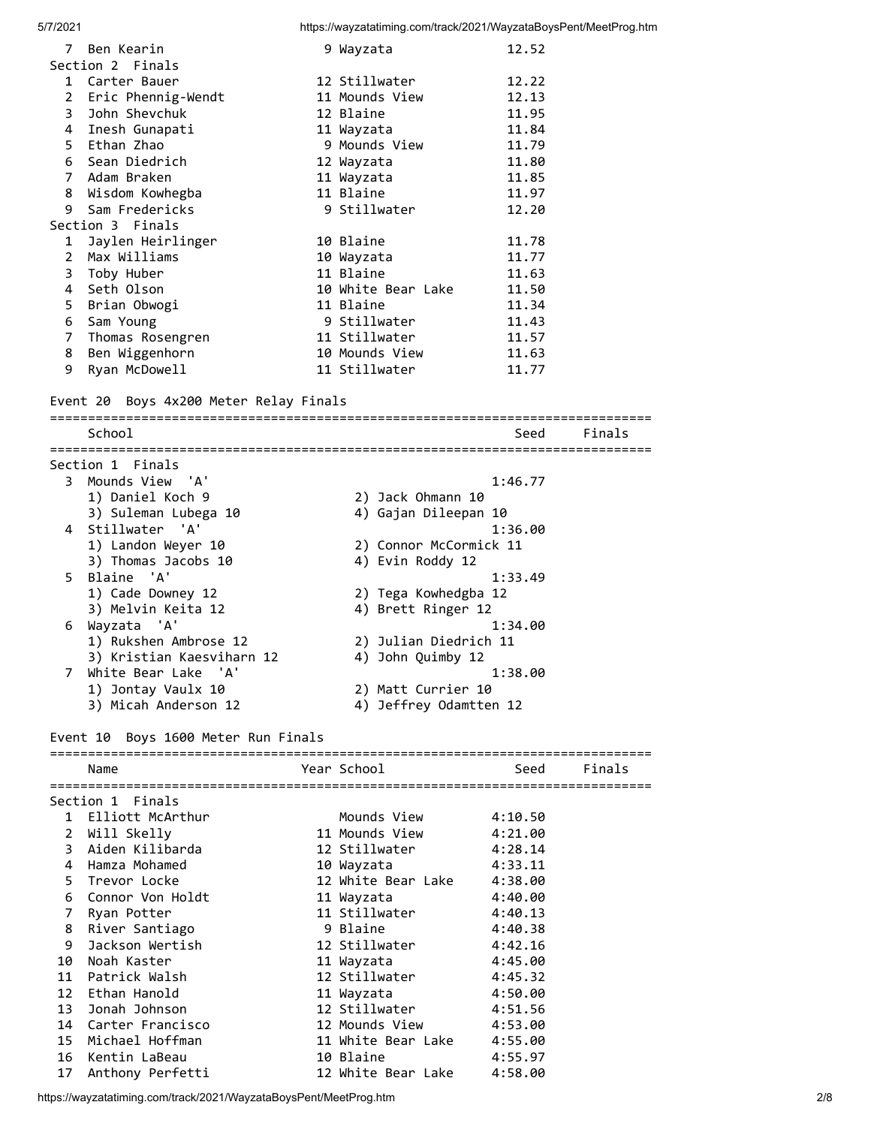| $\overline{7}$ | Ben Kearin         | 9 Wayzata          | 12.52 |
|----------------|--------------------|--------------------|-------|
|                | Section 2 Finals   |                    |       |
| 1              | Carter Bauer       | 12 Stillwater      | 12.22 |
| 2              | Eric Phennig-Wendt | 11 Mounds View     | 12.13 |
| 3              | John Shevchuk      | 12 Blaine          | 11.95 |
|                | 4 Inesh Gunapati   | 11 Wayzata         | 11.84 |
|                | 5 Ethan Zhao       | 9 Mounds View      | 11.79 |
|                | 6 Sean Diedrich    | 12 Wayzata         | 11.80 |
|                | 7 Adam Braken      | 11 Wayzata         | 11.85 |
| 8              | Wisdom Kowhegba    | 11 Blaine          | 11.97 |
| 9              | Sam Fredericks     | 9 Stillwater       | 12.20 |
|                | Section 3 Finals   |                    |       |
| 1              | Jaylen Heirlinger  | 10 Blaine          | 11.78 |
| $\mathbf{2}$   | Max Williams       | 10 Wayzata         | 11.77 |
|                | 3 Toby Huber       | 11 Blaine          | 11.63 |
| 4              | Seth Olson         | 10 White Bear Lake | 11.50 |
|                | 5  Brian Obwogi    | 11 Blaine          | 11.34 |
| 6              | Sam Young          | 9 Stillwater       | 11.43 |
| 7              | Thomas Rosengren   | 11 Stillwater      | 11.57 |
| 8              | Ben Wiggenhorn     | 10 Mounds View     | 11.63 |
| 9              | Ryan McDowell      | 11 Stillwater      | 11.77 |

#### Event 20 Boys 4x200 Meter Relay Finals

=============================================================================== School Seed Finals =============================================================================== Section 1 Finals 3 Mounds View 'A' 1:46.77 1) Daniel Koch 9 2) Jack Ohmann 10 3) Suleman Lubega 10 4) Gajan Dileepan 10 4 Stillwater 'A' 1:36.00 1) Landon Weyer 10 2) Connor McCormick 11 3) Thomas Jacobs 10 4) Evin Roddy 12 5 Blaine 'A' 1:33.49 1) Cade Downey 12 2) Tega Kowhedgba 12 3) Melvin Keita 12 4) Brett Ringer 12 6 Wayzata 'A' 1:34.00 1) Rukshen Ambrose 12 2) Julian Diedrich 11 3) Kristian Kaesviharn 12 4) John Quimby 12 7 White Bear Lake 'A' 1:38.00 1) Jontay Vaulx 10 2) Matt Currier 10 White Bear Lake 'A'<br>
1) Jontay Vaulx 10 2) Matt Currier 10<br>
3) Micah Anderson 12 4) Jeffrey Odamtten 12 Event 10 Boys 1600 Meter Run Finals =============================================================================== Name **Name School Seed Finals** =============================================================================== Section 1 Finals 1 Elliott McArthur Mounds View 4:10.50 2 Will Skelly 11 Mounds View 4:21.00 3 Aiden Kilibarda 12 Stillwater 4:28.14 4 Hamza Mohamed 10 Wayzata 4:33.11 5 Trevor Locke 12 White Bear Lake 4:38.00

 16 Kentin LaBeau 10 Blaine 4:55.97 17 Anthony Perfetti 12 White Bear Lake 4:58.00

 6 Connor Von Holdt 11 Wayzata 4:40.00 7 Ryan Potter 11 Stillwater 4:40.13 8 River Santiago 9 Blaine 4:40.38 9 Jackson Wertish 12 Stillwater 4:42.16 10 Noah Kaster 11 Wayzata 4:45.00 11 Patrick Walsh 12 Stillwater 4:45.32 12 Ethan Hanold 11 Wayzata 4:50.00 13 Jonah Johnson 12 Stillwater 4:51.56 14 Carter Francisco 12 Mounds View 4:53.00 15 Michael Hoffman 11 White Bear Lake 4:55.00

https://wayzatatiming.com/track/2021/WayzataBoysPent/MeetProg.htm 2/8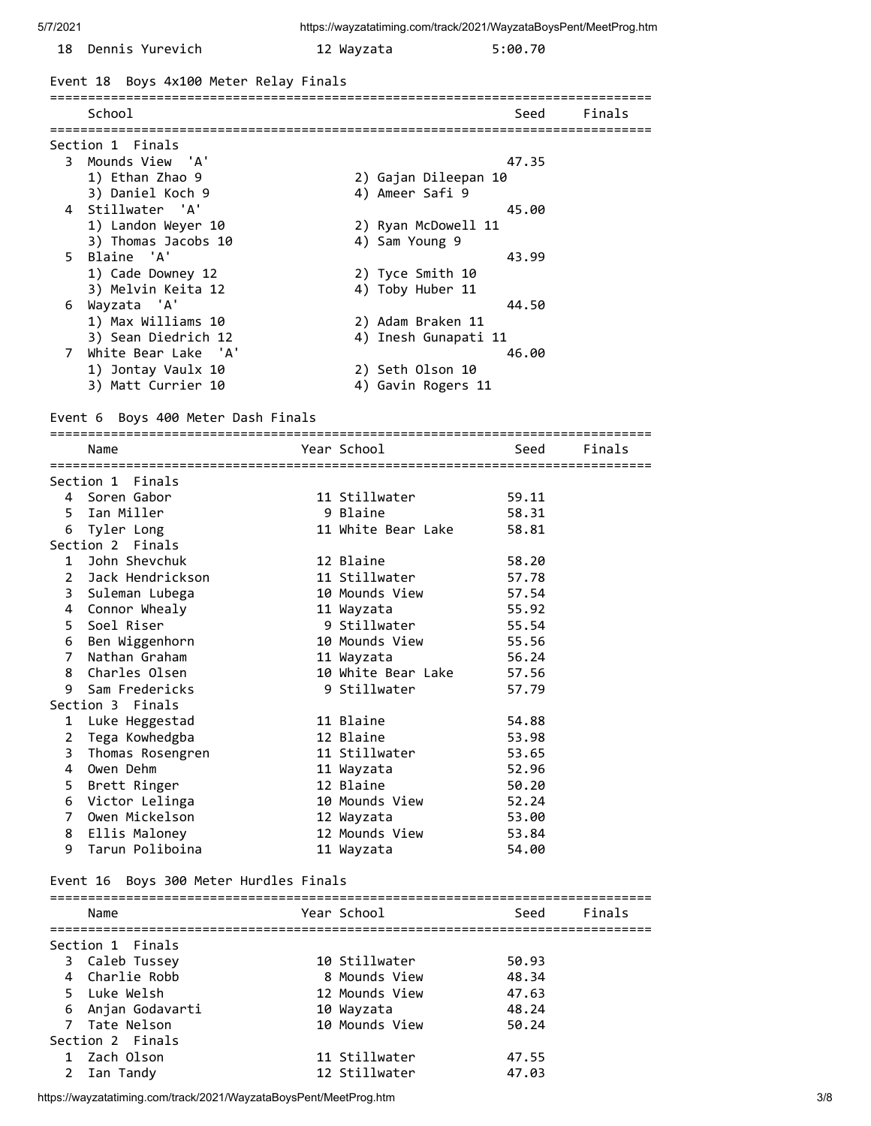| 18 Dennis Yurevich                     | 12 Wayzata           | 5:00.70 |        |
|----------------------------------------|----------------------|---------|--------|
| Event 18 Boys 4x100 Meter Relay Finals |                      |         |        |
| School                                 |                      | Seed    | Finals |
| Section 1 Finals                       |                      |         |        |
| 3 Mounds View 'A'                      |                      | 47.35   |        |
| 1) Ethan Zhao 9                        | 2) Gajan Dileepan 10 |         |        |
| 3) Daniel Koch 9                       | 4) Ameer Safi 9      |         |        |
| 4 Stillwater 'A'                       |                      | 45.00   |        |
| 1) Landon Weyer 10                     | 2) Ryan McDowell 11  |         |        |
| 3) Thomas Jacobs 10                    | 4) Sam Young 9       |         |        |
| 5 Blaine 'A'                           |                      | 43.99   |        |
| 1) Cade Downey 12                      | 2) Tyce Smith 10     |         |        |
| 3) Melvin Keita 12                     | 4) Toby Huber 11     |         |        |
| 6 Wayzata 'A'                          |                      | 44.50   |        |
| 1) Max Williams 10                     | 2) Adam Braken 11    |         |        |
| 3) Sean Diedrich 12                    | 4) Inesh Gunapati 11 |         |        |
| White Bear Lake 'A'<br>7               |                      | 46.00   |        |
|                                        |                      |         |        |

Event 6 Boys 400 Meter Dash Finals

 1) Jontay Vaulx 10 2) Seth Olson 10 3) Matt Currier 10 4) Gavin Rogers 11

=============================================================================== Name **Year School** Seed Finals =============================================================================== Section 1 Finals 4 Soren Gabor 11 Stillwater 59.11 5 Ian Miller 9 Blaine 58.31 6 Tyler Long 11 White Bear Lake 58.81 Section 2 Finals 1 John Shevchuk 12 Blaine 58.20 2 Jack Hendrickson 11 Stillwater 57.78 3 Suleman Lubega 10 Mounds View 57.54 4 Connor Whealy 11 Wayzata 55.92 5 Soel Riser 9 Stillwater 55.54 6 Ben Wiggenhorn 10 Mounds View 55.56 7 Nathan Graham 11 Wayzata 56.24 8 Charles Olsen 10 White Bear Lake 57.56

 9 Sam Fredericks 9 Stillwater 57.79 Section 3 Finals 1 Luke Heggestad 11 Blaine 54.88 2 Tega Kowhedgba 12 Blaine 53.98 3 Thomas Rosengren 11 Stillwater 53.65 4 Owen Dehm 11 Wayzata 52.96 5 Brett Ringer 12 Blaine 50.20 6 Victor Lelinga 10 Mounds View 52.24 7 Owen Mickelson 12 Wayzata 53.00 8 Ellis Maloney 12 Mounds View 53.84

9 Tarun Poliboina 11 Wayzata 54.00

#### Event 16 Boys 300 Meter Hurdles Finals

|             | Name             | Year School    | Seed  | Finals |
|-------------|------------------|----------------|-------|--------|
|             | Section 1 Finals |                |       |        |
|             | 3 Caleb Tussey   | 10 Stillwater  | 50.93 |        |
|             | 4 Charlie Robb   | 8 Mounds View  | 48.34 |        |
|             | 5 Luke Welsh     | 12 Mounds View | 47.63 |        |
| 6           | Anjan Godavarti  | 10 Wayzata     | 48.24 |        |
|             | 7 Tate Nelson    | 10 Mounds View | 50.24 |        |
|             | Section 2 Finals |                |       |        |
|             | 1 Zach Olson     | 11 Stillwater  | 47.55 |        |
| $2^{\circ}$ | Ian Tandy        | 12 Stillwater  | 47.03 |        |

https://wayzatatiming.com/track/2021/WayzataBoysPent/MeetProg.htm 3/8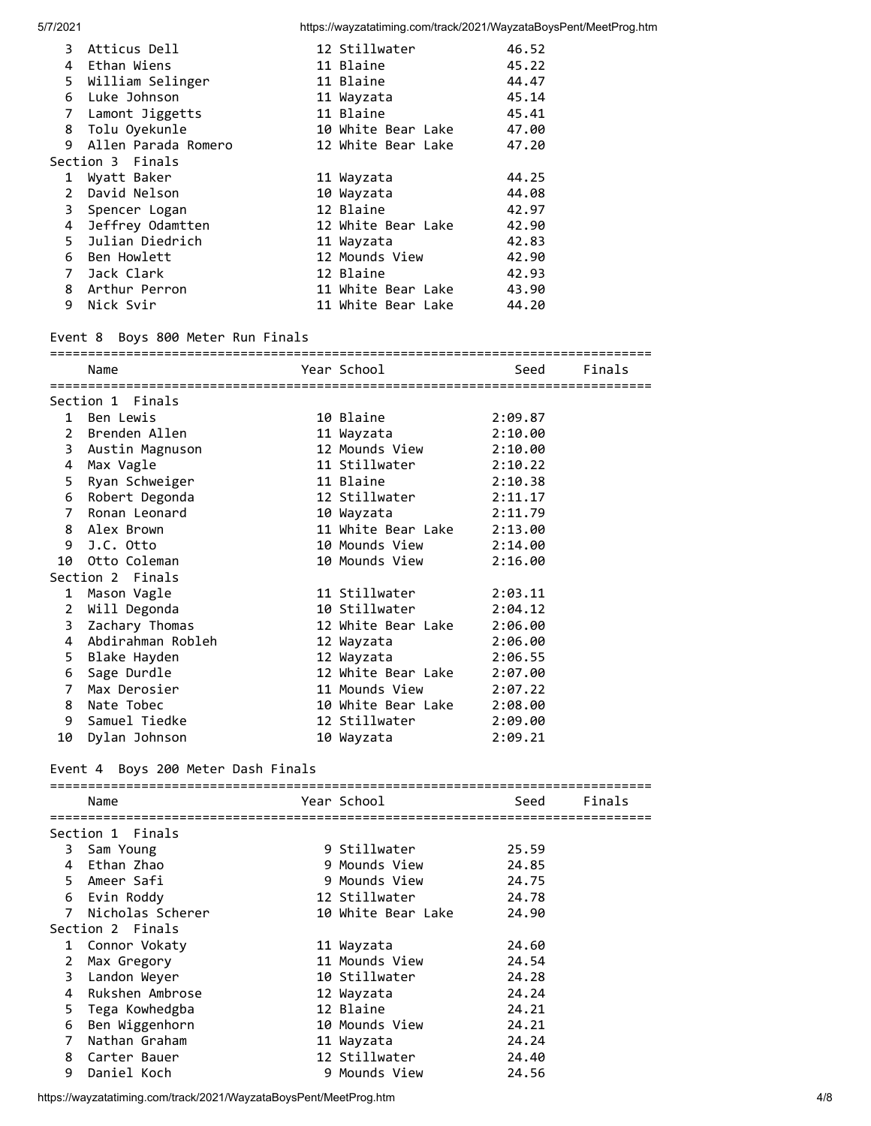| 3            | Atticus Dell        | 12 Stillwater      | 46.52 |
|--------------|---------------------|--------------------|-------|
|              | 4 Ethan Wiens       | 11 Blaine          | 45.22 |
|              | 5 William Selinger  | 11 Blaine          | 44.47 |
|              | 6 Luke Johnson      | 11 Wayzata         | 45.14 |
|              | 7 Lamont Jiggetts   | 11 Blaine          | 45.41 |
|              | 8 Tolu Oyekunle     | 10 White Bear Lake | 47.00 |
| 9            | Allen Parada Romero | 12 White Bear Lake | 47.20 |
|              | Section 3 Finals    |                    |       |
| $\mathbf{1}$ | Wyatt Baker         | 11 Wayzata         | 44.25 |
| $2^{\circ}$  | David Nelson        | 10 Wayzata         | 44.08 |
|              | 3 Spencer Logan     | 12 Blaine          | 42.97 |
|              | 4 Jeffrey Odamtten  | 12 White Bear Lake | 42.90 |
|              | 5 Julian Diedrich   | 11 Wayzata         | 42.83 |
|              | 6 Ben Howlett       | 12 Mounds View     | 42.90 |
|              | 7 Jack Clark        | 12 Blaine          | 42.93 |
|              | 8 Arthur Perron     | 11 White Bear Lake | 43.90 |
| 9            | Nick Svir           | 11 White Bear Lake | 44.20 |

### Event 8 Boys 800 Meter Run Finals

|    | Name                | Year School                | seed Seed Seed Seed Seed Seed Seed Sections and the Section Section Section Section Section Section Section Se | Finals |
|----|---------------------|----------------------------|----------------------------------------------------------------------------------------------------------------|--------|
|    |                     |                            |                                                                                                                |        |
|    | Section 1 Finals    |                            |                                                                                                                |        |
|    | 1 Ben Lewis         | 10 Blaine                  | 2:09.87                                                                                                        |        |
|    | 2 Brenden Allen     | 11 Wayzata                 | 2:10.00                                                                                                        |        |
|    | 3 Austin Magnuson   | 12 Mounds View             | 2:10.00                                                                                                        |        |
|    | 4 Max Vagle         | 11 Stillwater              | 2:10.22                                                                                                        |        |
|    | 5 Ryan Schweiger    | 11 Blaine                  | 2:10.38                                                                                                        |        |
|    | 6 Robert Degonda    | 12 Stillwater              | 2:11.17                                                                                                        |        |
|    | 7 Ronan Leonard     | 2:11.79<br>10 Wayzata      |                                                                                                                |        |
|    | 8 Alex Brown        | 11 White Bear Lake 2:13.00 |                                                                                                                |        |
| 9  | J.C. Otto           | 10 Mounds View 2:14.00     |                                                                                                                |        |
| 10 | Otto Coleman        | 10 Mounds View             | 2:16.00                                                                                                        |        |
|    | Section 2 Finals    |                            |                                                                                                                |        |
| 1  | Mason Vagle         | 11 Stillwater              | 2:03.11                                                                                                        |        |
|    | 2 Will Degonda      | 10 Stillwater 2:04.12      |                                                                                                                |        |
|    | 3 Zachary Thomas    | 12 White Bear Lake 2:06.00 |                                                                                                                |        |
|    | 4 Abdirahman Robleh | 12 Wayzata 2:06.00         |                                                                                                                |        |
|    | 5 Blake Hayden      | 12 Wayzata 2:06.55         |                                                                                                                |        |
|    | 6 Sage Durdle       | 12 White Bear Lake 2:07.00 |                                                                                                                |        |
| 7  | Max Derosier        | 11 Mounds View 2:07.22     |                                                                                                                |        |
|    | 8 Nate Tobec        | 10 White Bear Lake 2:08.00 |                                                                                                                |        |
| 9  | Samuel Tiedke       | 12 Stillwater 2:09.00      |                                                                                                                |        |
| 10 | Dylan Johnson       | 10 Wayzata                 | 2:09.21                                                                                                        |        |

# Event 4 Boys 200 Meter Dash Finals

|              | Name             |  | Year School        | Seed  | Finals |  |
|--------------|------------------|--|--------------------|-------|--------|--|
|              |                  |  |                    |       |        |  |
|              | Section 1 Finals |  |                    |       |        |  |
| 3            | Sam Young        |  | 9 Stillwater       | 25.59 |        |  |
| 4            | Ethan Zhao       |  | 9 Mounds View      | 24.85 |        |  |
|              | 5 Ameer Safi     |  | 9 Mounds View      | 24.75 |        |  |
| 6            | Evin Roddy       |  | 12 Stillwater      | 24.78 |        |  |
| 7            | Nicholas Scherer |  | 10 White Bear Lake | 24.90 |        |  |
|              | Section 2 Finals |  |                    |       |        |  |
| $\mathbf{1}$ | Connor Vokaty    |  | 11 Wayzata         | 24.60 |        |  |
| 2            | Max Gregory      |  | 11 Mounds View     | 24.54 |        |  |
| 3.           | Landon Weyer     |  | 10 Stillwater      | 24.28 |        |  |
| 4            | Rukshen Ambrose  |  | 12 Wayzata         | 24.24 |        |  |
| 5.           | Tega Kowhedgba   |  | 12 Blaine          | 24.21 |        |  |
| 6            | Ben Wiggenhorn   |  | 10 Mounds View     | 24.21 |        |  |
| 7            | Nathan Graham    |  | 11 Wayzata         | 24.24 |        |  |
| 8            | Carter Bauer     |  | 12 Stillwater      | 24.40 |        |  |
| 9            | Daniel Koch      |  | 9 Mounds View      | 24.56 |        |  |

https://wayzatatiming.com/track/2021/WayzataBoysPent/MeetProg.htm 4/8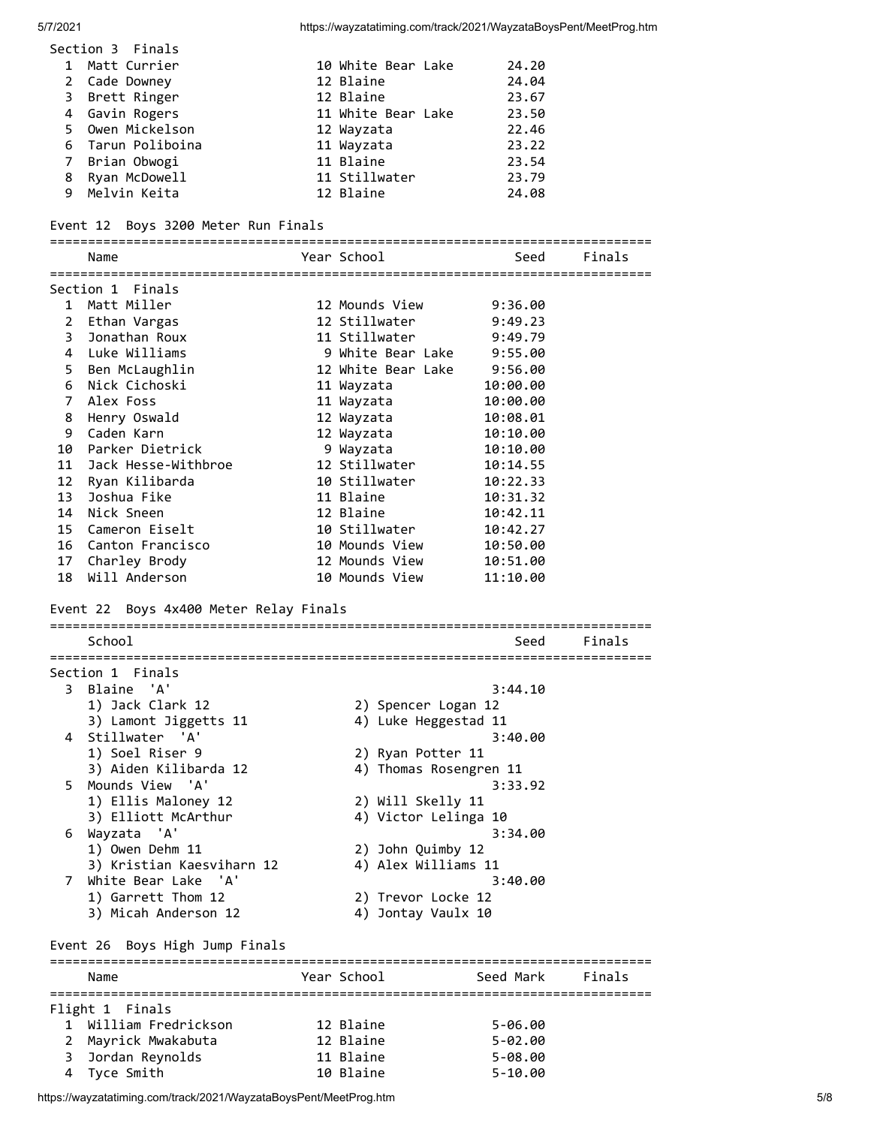| Section 3 Finals  |                    |       |
|-------------------|--------------------|-------|
| 1 Matt Currier    | 10 White Bear Lake | 24.20 |
| 2 Cade Downey     | 12 Blaine          | 24.04 |
| 3 Brett Ringer    | 12 Blaine          | 23.67 |
| 4 Gavin Rogers    | 11 White Bear Lake | 23.50 |
| 5 Owen Mickelson  | 12 Wayzata         | 22.46 |
| 6 Tarun Poliboina | 11 Wayzata         | 23.22 |
| 7 Brian Obwogi    | 11 Blaine          | 23.54 |
| 8 Ryan McDowell   | 11 Stillwater      | 23.79 |
| 9 Melvin Keita    | 12 Blaine          | 24.08 |

#### Event 12 Boys 3200 Meter Run Finals

=============================================================================== Year School Seed Finals =============================================================================== Section 1 Finals 1 Matt Miller 12 Mounds View 9:36.00 2 Ethan Vargas 12 Stillwater 9:49.23 3 Jonathan Roux 11 Stillwater 9:49.79 4 Luke Williams 9 White Bear Lake 9:55.00 5 Ben McLaughlin 12 White Bear Lake 9:56.00 6 Nick Cichoski 11 Wayzata 10:00.00 7 Alex Foss 11 Wayzata 10:00.00 8 Henry Oswald 12 Wayzata 10:08.01 9 Caden Karn 12 Wayzata 10:10.00 10 Parker Dietrick 9 Wayzata 10:10.00 11 Jack Hesse-Withbroe 12 Stillwater 10:14.55 12 Ryan Kilibarda 10 Stillwater 10:22.33 13 Joshua Fike 11 Blaine 10:31.32 14 Nick Sneen 12 Blaine 10:42.11 15 Cameron Eiselt 10 Stillwater 10:42.27 16 Canton Francisco 10 Mounds View 10:50.00 17 Charley Brody 12 Mounds View 10:51.00 18 Will Anderson 10 Mounds View 11:10.00 Event 22 Boys 4x400 Meter Relay Finals =============================================================================== School Seed Finals =============================================================================== Section 1 Finals 3 Blaine 'A' 3:44.10 1) Jack Clark 12 2) Spencer Logan 12 3) Lamont Jiggetts 11 4) Luke Heggestad 11 4 Stillwater 'A' 3:40.00 1) Soel Riser 9 2) Ryan Potter 11 3) Aiden Kilibarda 12 4) Thomas Rosengren 11 5 Mounds View 'A' 3:33.92 1) Ellis Maloney 12 2) Will Skelly 11 3) Elliott McArthur 4) Victor Lelinga 10 6 Wayzata 'A' 3:34.00 1) Owen Dehm 11 2) John Quimby 12 3) Kristian Kaesviharn 12 4) Alex Williams 11 7 White Bear Lake 'A' 3:40.00 1) Garrett Thom 12 2) Trevor Locke 12 3) Micah Anderson 12 4) Jontay Vaulx 10 Event 26 Boys High Jump Finals =============================================================================== Name The Sear School Seed Mark Finals =============================================================================== Flight 1 Finals

| 1 William Fredrickson<br>12 Blaine<br>5-06.00   |  |
|-------------------------------------------------|--|
| 2 Mayrick Mwakabuta<br>12 Blaine<br>$5 - 02.00$ |  |
| 3 Jordan Reynolds<br>11 Blaine<br>5-08.00       |  |
| 10 Blaine<br>4 Tyce Smith<br>$5 - 10.00$        |  |

https://wayzatatiming.com/track/2021/WayzataBoysPent/MeetProg.htm 5/8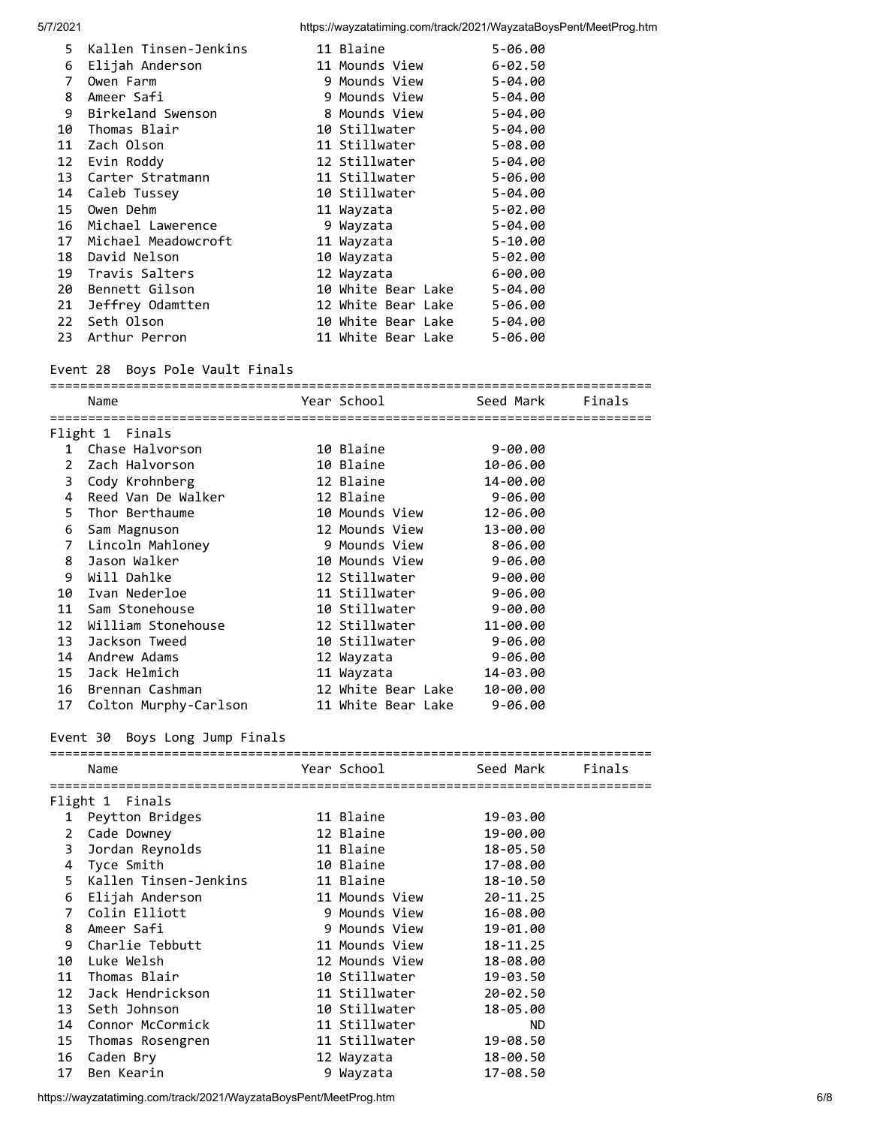| 5. | Kallen Tinsen-Jenkins | 11 Blaine          | $5 - 06.00$ |
|----|-----------------------|--------------------|-------------|
| 6  | Elijah Anderson       | 11 Mounds View     | $6 - 02.50$ |
| 7  | Owen Farm             | 9 Mounds View      | $5 - 04.00$ |
| 8  | Ameer Safi            | 9 Mounds View      | $5 - 04.00$ |
| 9  | Birkeland Swenson     | 8 Mounds View      | $5 - 04.00$ |
| 10 | Thomas Blair          | 10 Stillwater      | $5 - 04.00$ |
| 11 | Zach Olson            | 11 Stillwater      | $5 - 08.00$ |
| 12 | Evin Roddy            | 12 Stillwater      | $5 - 04.00$ |
| 13 | Carter Stratmann      | 11 Stillwater      | $5 - 06.00$ |
| 14 | Caleb Tussey          | 10 Stillwater      | $5 - 04.00$ |
| 15 | Owen Dehm             | 11 Wayzata         | $5 - 02.00$ |
| 16 | Michael Lawerence     | 9 Wayzata          | $5 - 04.00$ |
| 17 | Michael Meadowcroft   | 11 Wayzata         | $5 - 10.00$ |
| 18 | David Nelson          | 10 Wayzata         | $5 - 02.00$ |
| 19 | Travis Salters        | 12 Wayzata         | $6 - 00.00$ |
| 20 | Bennett Gilson        | 10 White Bear Lake | $5 - 04.00$ |
| 21 | Jeffrey Odamtten      | 12 White Bear Lake | $5 - 06.00$ |
| 22 | Seth Olson            | 10 White Bear Lake | $5 - 04.00$ |
| 23 | Arthur Perron         | 11 White Bear Lake | $5 - 06.00$ |

### Event 28 Boys Pole Vault Finals

|                | Name                  |  |                            |             | Finals |  |  |
|----------------|-----------------------|--|----------------------------|-------------|--------|--|--|
| Flight 1       | Finals                |  |                            |             |        |  |  |
| $\mathbf{1}$   | Chase Halvorson       |  | 10 Blaine                  | $9 - 00.00$ |        |  |  |
| $\mathbf{2}$   | Zach Halvorson        |  | 10 Blaine                  | 10-06.00    |        |  |  |
| 3              | Cody Krohnberg        |  | 12 Blaine                  | 14-00.00    |        |  |  |
| 4              | Reed Van De Walker    |  | 12 Blaine                  | $9 - 06.00$ |        |  |  |
| 5.             | Thor Berthaume        |  | 10 Mounds View             | 12-06.00    |        |  |  |
| 6              | Sam Magnuson          |  | 12 Mounds View             | 13-00.00    |        |  |  |
| $\overline{7}$ | Lincoln Mahloney      |  | 9 Mounds View              | 8-06.00     |        |  |  |
| 8              | Jason Walker          |  | 10 Mounds View             | 9-06.00     |        |  |  |
| 9              | Will Dahlke           |  | 12 Stillwater              | $9 - 00.00$ |        |  |  |
| 10             | Ivan Nederloe         |  | 11 Stillwater              | $9 - 06.00$ |        |  |  |
| 11             | Sam Stonehouse        |  | 10 Stillwater              | $9 - 00.00$ |        |  |  |
| 12             | William Stonehouse    |  | 12 Stillwater              | 11-00.00    |        |  |  |
| 13             | Jackson Tweed         |  | 10 Stillwater              | $9 - 06.00$ |        |  |  |
| 14             | Andrew Adams          |  | 12 Wayzata                 | $9 - 06.00$ |        |  |  |
| 15             | Jack Helmich          |  | 11 Wayzata                 | 14-03.00    |        |  |  |
| 16             | Brennan Cashman       |  | 12 White Bear Lake         | 10-00.00    |        |  |  |
| 17             | Colton Murphy-Carlson |  | 11 White Bear Lake 9-06.00 |             |        |  |  |

### Event 30 Boys Long Jump Finals

|                | Name                  | Year School    | Seed Mark    | Finals |
|----------------|-----------------------|----------------|--------------|--------|
|                | Flight 1 Finals       |                |              |        |
| 1              | Peytton Bridges       | 11 Blaine      | 19-03.00     |        |
| $2^{\circ}$    | Cade Downey           | 12 Blaine      | 19-00.00     |        |
| 3              | Jordan Reynolds       | 11 Blaine      | 18-05.50     |        |
|                | 4 Tyce Smith          | 10 Blaine      | 17-08.00     |        |
| 5.             | Kallen Tinsen-Jenkins | 11 Blaine      | 18-10.50     |        |
| 6              | Elijah Anderson       | 11 Mounds View | $20 - 11.25$ |        |
| $\overline{7}$ | Colin Elliott         | 9 Mounds View  | 16-08.00     |        |
| 8              | Ameer Safi            | 9 Mounds View  | 19-01.00     |        |
| 9              | Charlie Tebbutt       | 11 Mounds View | $18 - 11.25$ |        |
| 10             | Luke Welsh            | 12 Mounds View | 18-08.00     |        |
| 11             | Thomas Blair          | 10 Stillwater  | 19-03.50     |        |
| 12             | Jack Hendrickson      | 11 Stillwater  | $20 - 02.50$ |        |
| 13             | Seth Johnson          | 10 Stillwater  | 18-05.00     |        |
| 14             | Connor McCormick      | 11 Stillwater  | <b>ND</b>    |        |
| 15             | Thomas Rosengren      | 11 Stillwater  | 19-08.50     |        |
| 16             | Caden Bry             | 12 Wayzata     | 18-00.50     |        |
| 17             | Ben Kearin            | 9 Wayzata      | 17-08.50     |        |
|                |                       |                |              |        |

https://wayzatatiming.com/track/2021/WayzataBoysPent/MeetProg.htm 6/8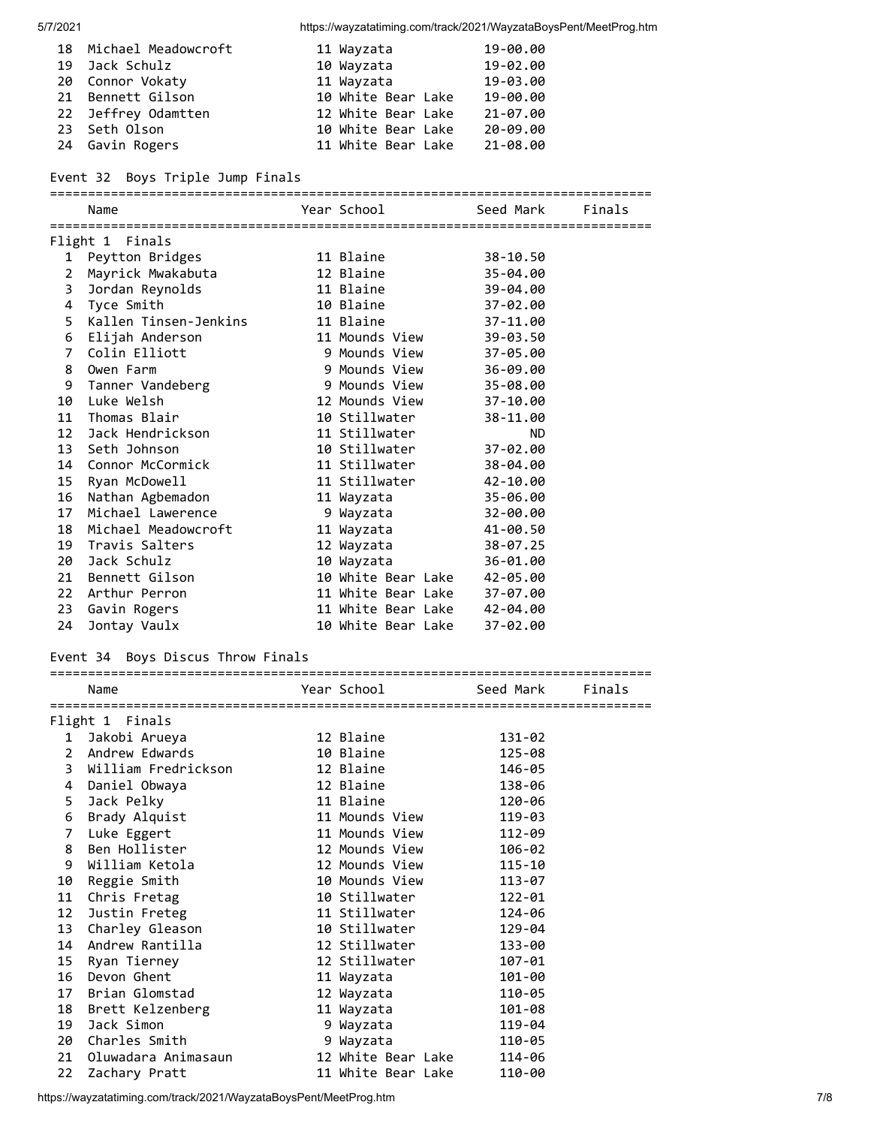| 18 Michael Meadowcroft | 11 Wayzata         | 19-00.00 |
|------------------------|--------------------|----------|
| 19 Jack Schulz         | 10 Wayzata         | 19-02.00 |
| 20 Connor Vokaty       | 11 Wayzata         | 19-03.00 |
| 21 Bennett Gilson      | 10 White Bear Lake | 19-00.00 |
| 22 Jeffrey Odamtten    | 12 White Bear Lake | 21-07.00 |
| 23 Seth Olson          | 10 White Bear Lake | 20-09.00 |
| 24 Gavin Rogers        | 11 White Bear Lake | 21-08.00 |

### Event 32 Boys Triple Jump Finals

===============================================================================

|                 | Name                    |  | Year School        | Seed Mark<br>Finals |  |  |
|-----------------|-------------------------|--|--------------------|---------------------|--|--|
| Flight 1 Finals |                         |  |                    |                     |  |  |
| 1               | Peytton Bridges         |  | 11 Blaine          | 38-10.50            |  |  |
| 2               | Mayrick Mwakabuta       |  | 12 Blaine          | 35-04.00            |  |  |
| 3               | Jordan Reynolds         |  | 11 Blaine          | 39-04.00            |  |  |
|                 | 4 Tyce Smith            |  | 10 Blaine          | 37-02.00            |  |  |
|                 | 5 Kallen Tinsen-Jenkins |  | 11 Blaine          | 37-11.00            |  |  |
|                 | 6 Elijah Anderson       |  | 11 Mounds View     | 39-03.50            |  |  |
| $\overline{7}$  | Colin Elliott           |  | 9 Mounds View      | 37-05.00            |  |  |
| 8               | Owen Farm               |  | 9 Mounds View      | 36-09.00            |  |  |
|                 | 9 Tanner Vandeberg      |  | 9 Mounds View      | 35-08.00            |  |  |
| 10              | Luke Welsh              |  | 12 Mounds View     | 37-10.00            |  |  |
| 11              | Thomas Blair            |  | 10 Stillwater      | 38-11.00            |  |  |
| 12              | Jack Hendrickson        |  | 11 Stillwater      | <b>ND</b>           |  |  |
|                 | 13 Seth Johnson         |  | 10 Stillwater      | 37-02.00            |  |  |
|                 | 14 Connor McCormick     |  | 11 Stillwater      | 38-04.00            |  |  |
|                 | 15 Ryan McDowell        |  | 11 Stillwater      | 42-10.00            |  |  |
| 16              | Nathan Agbemadon        |  | 11 Wayzata         | 35-06.00            |  |  |
| 17              | Michael Lawerence       |  | 9 Wayzata          | 32-00.00            |  |  |
| 18              | Michael Meadowcroft     |  | 11 Wayzata         | 41-00.50            |  |  |
|                 | 19 Travis Salters       |  | 12 Wayzata         | 38-07.25            |  |  |
|                 | 20 Jack Schulz          |  | 10 Wayzata         | 36-01.00            |  |  |
| 21              | Bennett Gilson          |  | 10 White Bear Lake | 42-05.00            |  |  |
|                 | 22 Arthur Perron        |  | 11 White Bear Lake | 37-07.00            |  |  |
| 23              | Gavin Rogers            |  | 11 White Bear Lake | 42-04.00            |  |  |
| 24              | Jontay Vaulx            |  | 10 White Bear Lake | 37-02.00            |  |  |

## Event 34 Boys Discus Throw Finals

#### ===============================================================================

|              | Name                   | Year School <b>Sand</b> | Seed Mark  | Finals |
|--------------|------------------------|-------------------------|------------|--------|
|              |                        |                         |            |        |
|              | Flight 1 Finals        |                         |            |        |
|              | 1 Jakobi Arueya        | 12 Blaine               | 131-02     |        |
| $\mathbf{2}$ | Andrew Edwards         | 10 Blaine               | $125 - 08$ |        |
| 3            | William Fredrickson    | 12 Blaine               | 146-05     |        |
|              | 4 Daniel Obwaya        | 12 Blaine               | 138-06     |        |
|              | 5 Jack Pelky           | 11 Blaine               | 120-06     |        |
|              | 6 Brady Alquist        | 11 Mounds View          | 119-03     |        |
| 7            | Luke Eggert            | 11 Mounds View          | 112-09     |        |
| 8            | Ben Hollister          | 12 Mounds View          | 106-02     |        |
| 9            | William Ketola         | 12 Mounds View          | 115-10     |        |
|              | 10 Reggie Smith        | 10 Mounds View          | 113-07     |        |
|              | 11 Chris Fretag        | 10 Stillwater           | 122-01     |        |
|              | 12 Justin Freteg       | 11 Stillwater           | 124-06     |        |
|              | 13 Charley Gleason     | 10 Stillwater           | 129-04     |        |
| 14           | Andrew Rantilla        | 12 Stillwater           | 133-00     |        |
|              | 15 Ryan Tierney        | 12 Stillwater           | 107-01     |        |
|              | 16 Devon Ghent         | 11 Wayzata              | 101-00     |        |
|              | 17 Brian Glomstad      | 12 Wayzata              | 110-05     |        |
|              | 18 Brett Kelzenberg    | 11 Wayzata              | 101-08     |        |
| 19           | Jack Simon             | 9 Wayzata               | 119-04     |        |
|              | 20 Charles Smith       | 9 Wayzata               | 110-05     |        |
|              | 21 Oluwadara Animasaun | 12 White Bear Lake      | 114-06     |        |
| 22           | Zachary Pratt          | 11 White Bear Lake      | 110-00     |        |

https://wayzatatiming.com/track/2021/WayzataBoysPent/MeetProg.htm 7/8